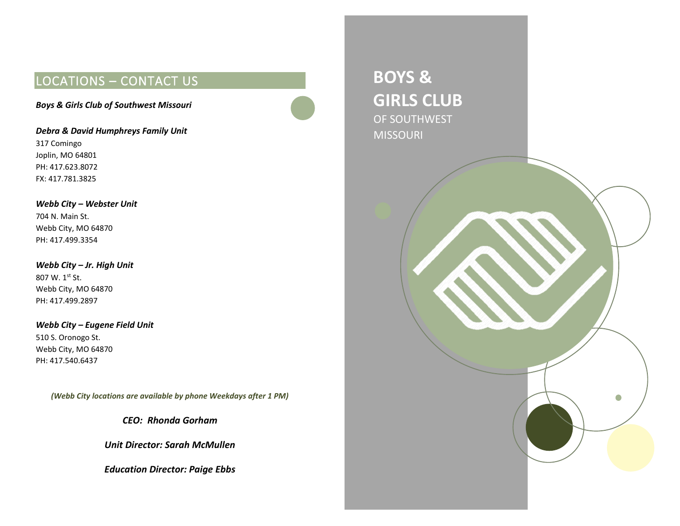# LOCATIONS – CONTACT US

*Boys & Girls Club of Southwest Missouri*

*Debra & David Humphreys Family Unit* 317 Comingo Joplin, MO 64801 PH: 417.623.8072 FX: 417.781.3825

*Webb City – Webster Unit* 704 N. Main St. Webb City, MO 64870 PH: 417.499.3354

*Webb City – Jr. High Unit* 807 W. 1st St. Webb City, MO 64870 PH: 417.499.2897

*Webb City – Eugene Field Unit* 510 S. Oronogo St. Webb City, MO 64870 PH: 417.540.6437

*(Webb City locations are available by phone Weekdays after 1 PM)*

*CEO: Rhonda Gorham*

*Unit Director: Sarah McMullen*

*Education Director: Paige Ebbs*

**BOYS & GIRLS CLUB** OF SOUTHWEST MISSOURI

**GIRLS CLUB**

 $\bigcap$   $\bigcap$ 

MISSOURI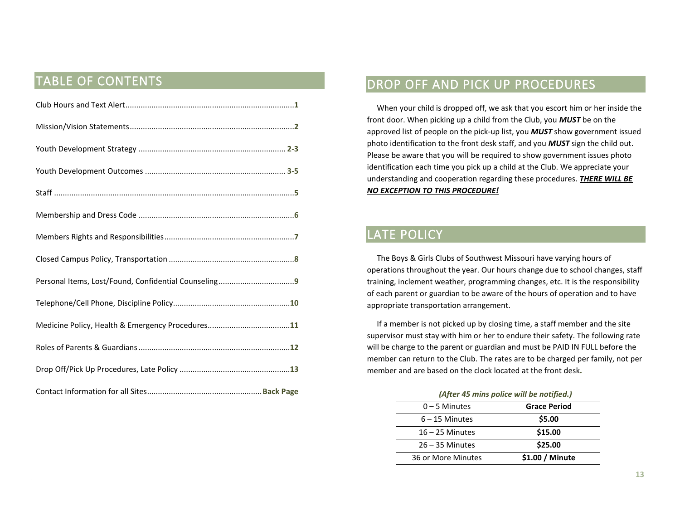## TABLE OF CONTENTS

# DROP OFF AND PICK UP PROCEDURES

 When your child is dropped off, we ask that you escort him or her inside the front door. When picking up a child from the Club, you *MUST* be on the approved list of people on the pick-up list, you *MUST* show government issued photo identification to the front desk staff, and you *MUST* sign the child out. Please be aware that you will be required to show government issues photo identification each time you pick up a child at the Club. We appreciate your understanding and cooperation regarding these procedures. *THERE WILL BE NO EXCEPTION TO THIS PROCEDURE!*

## LATE POLICY

 The Boys & Girls Clubs of Southwest Missouri have varying hours of operations throughout the year. Our hours change due to school changes, staff training, inclement weather, programming changes, etc. It is the responsibility of each parent or guardian to be aware of the hours of operation and to have appropriate transportation arrangement.

 If a member is not picked up by closing time, a staff member and the site supervisor must stay with him or her to endure their safety. The following rate will be charge to the parent or guardian and must be PAID IN FULL before the member can return to the Club. The rates are to be charged per family, not per member and are based on the clock located at the front desk*.*

| (After 45 mins police will be notified.) |                     |  |
|------------------------------------------|---------------------|--|
| $0 - 5$ Minutes                          | <b>Grace Period</b> |  |
| $6 - 15$ Minutes                         | \$5.00              |  |
| $16 - 25$ Minutes                        | \$15.00             |  |
| $26 - 35$ Minutes                        | \$25.00             |  |
| 36 or More Minutes                       | \$1.00 / Minute     |  |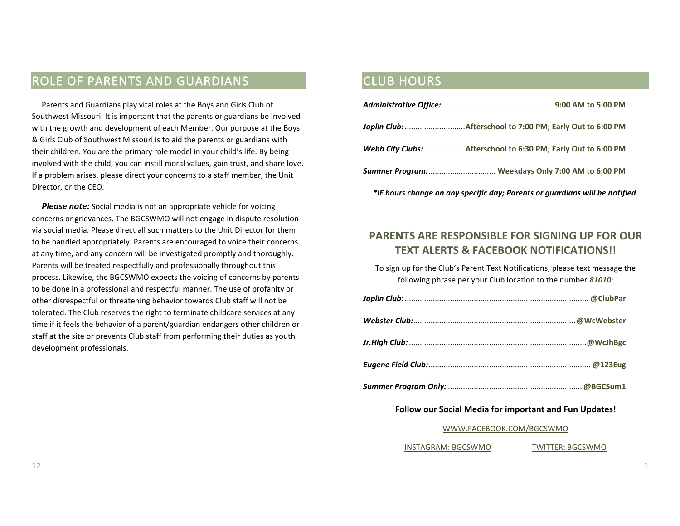# ROLE OF PARENTS AND GUARDIANS

 Parents and Guardians play vital roles at the Boys and Girls Club of Southwest Missouri. It is important that the parents or guardians be involved with the growth and development of each Member. Our purpose at the Boys & Girls Club of Southwest Missouri is to aid the parents or guardians with their children. You are the primary role model in your child's life. By being involved with the child, you can instill moral values, gain trust, and share love. If a problem arises, please direct your concerns to a staff member, the Unit Director, or the CEO.

**Please note:** Social media is not an appropriate vehicle for voicing concerns or grievances. The BGCSWMO will not engage in dispute resolution via social media. Please direct all such matters to the Unit Director for them to be handled appropriately. Parents are encouraged to voice their concerns at any time, and any concern will be investigated promptly and thoroughly. Parents will be treated respectfully and professionally throughout this process. Likewise, the BGCSWMO expects the voicing of concerns by parents to be done in a professional and respectful manner. The use of profanity or other disrespectful or threatening behavior towards Club staff will not be tolerated. The Club reserves the right to terminate childcare services at any time if it feels the behavior of a parent/guardian endangers other children or staff at the site or prevents Club staff from performing their duties as youth development professionals.

### CLUB HOURS

| Webb City Clubs: Afterschool to 6:30 PM; Early Out to 6:00 PM |
|---------------------------------------------------------------|
| Summer Program: Weekdays Only 7:00 AM to 6:00 PM              |

### **PARENTS ARE RESPONSIBLE FOR SIGNING UP FOR OUR TEXT ALERTS & FACEBOOK NOTIFICATIONS!!**

*\*IF hours change on any specific day; Parents or guardians will be notified*.

To sign up for the Club's Parent Text Notifications, please text message the following phrase per your Club location to the number *81010*:

#### **Follow our Social Media for important and Fun Updates!**

#### [WWW.FACEBOOK.COM/BGCSWMO](http://www.facebook.com/BGCSWMO)

INSTAGRAM: BGCSWMO TWITTER: BGCSWMO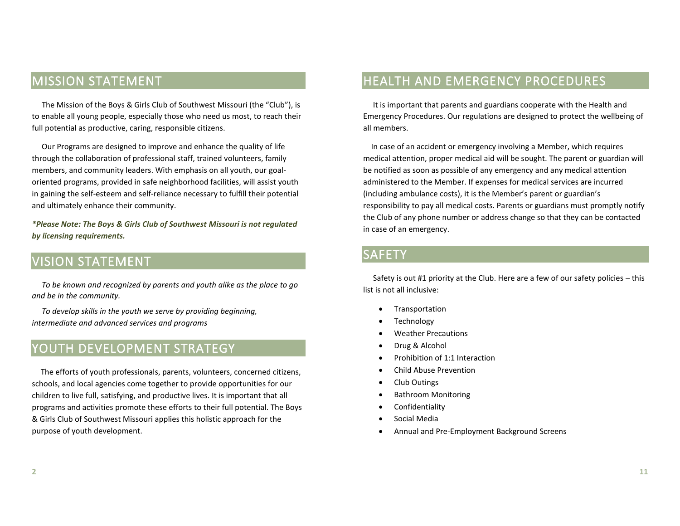# MISSION STATEMENT

 The Mission of the Boys & Girls Club of Southwest Missouri (the "Club"), is to enable all young people, especially those who need us most, to reach their full potential as productive, caring, responsible citizens.

 Our Programs are designed to improve and enhance the quality of life through the collaboration of professional staff, trained volunteers, family members, and community leaders. With emphasis on all youth, our goaloriented programs, provided in safe neighborhood facilities, will assist youth in gaining the self-esteem and self-reliance necessary to fulfill their potential and ultimately enhance their community.

*\*Please Note: The Boys & Girls Club of Southwest Missouri is not regulated by licensing requirements.* 

## VISION STATEMENT

 *To be known and recognized by parents and youth alike as the place to go and be in the community.* 

 *To develop skills in the youth we serve by providing beginning, intermediate and advanced services and programs*

## YOUTH DEVELOPMENT STRATEGY

 The efforts of youth professionals, parents, volunteers, concerned citizens, schools, and local agencies come together to provide opportunities for our children to live full, satisfying, and productive lives. It is important that all programs and activities promote these efforts to their full potential. The Boys & Girls Club of Southwest Missouri applies this holistic approach for the purpose of youth development.

# HEALTH AND EMERGENCY PROCEDURES

 It is important that parents and guardians cooperate with the Health and Emergency Procedures. Our regulations are designed to protect the wellbeing of all members.

 In case of an accident or emergency involving a Member, which requires medical attention, proper medical aid will be sought. The parent or guardian will be notified as soon as possible of any emergency and any medical attention administered to the Member. If expenses for medical services are incurred (including ambulance costs), it is the Member's parent or guardian's responsibility to pay all medical costs. Parents or guardians must promptly notify the Club of any phone number or address change so that they can be contacted in case of an emergency.

## SAFETY

 Safety is out #1 priority at the Club. Here are a few of our safety policies – this list is not all inclusive:

- **Transportation**
- **Technology**
- Weather Precautions
- Drug & Alcohol
- Prohibition of 1:1 Interaction
- Child Abuse Prevention
- Club Outings
- Bathroom Monitoring
- **Confidentiality**
- Social Media
- Annual and Pre-Employment Background Screens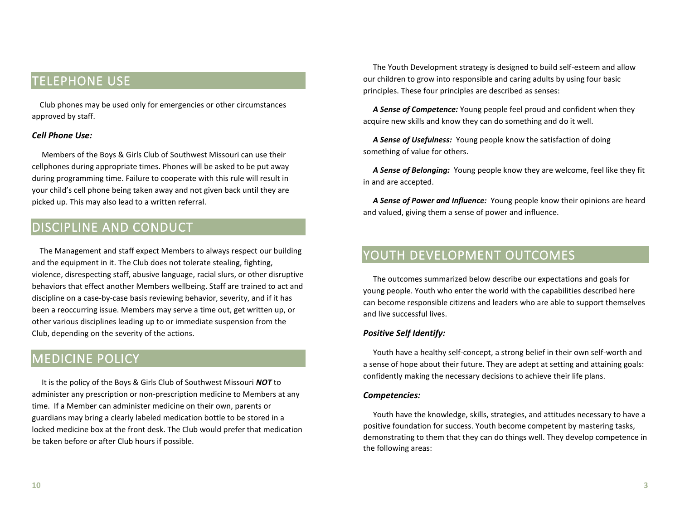# TELEPHONE USE

 Club phones may be used only for emergencies or other circumstances approved by staff.

#### *Cell Phone Use:*

 Members of the Boys & Girls Club of Southwest Missouri can use their cellphones during appropriate times. Phones will be asked to be put away during programming time. Failure to cooperate with this rule will result in your child's cell phone being taken away and not given back until they are picked up. This may also lead to a written referral.

## DISCIPLINE AND CONDUCT

 The Management and staff expect Members to always respect our building and the equipment in it. The Club does not tolerate stealing, fighting, violence, disrespecting staff, abusive language, racial slurs, or other disruptive behaviors that effect another Members wellbeing. Staff are trained to act and discipline on a case-by-case basis reviewing behavior, severity, and if it has been a reoccurring issue. Members may serve a time out, get written up, or other various disciplines leading up to or immediate suspension from the Club, depending on the severity of the actions.

### MEDICINE POLICY

 It is the policy of the Boys & Girls Club of Southwest Missouri *NOT* to administer any prescription or non-prescription medicine to Members at any time. If a Member can administer medicine on their own, parents or guardians may bring a clearly labeled medication bottle to be stored in a locked medicine box at the front desk. The Club would prefer that medication be taken before or after Club hours if possible.

 The Youth Development strategy is designed to build self-esteem and allow our children to grow into responsible and caring adults by using four basic principles. These four principles are described as senses:

 *A Sense of Competence:* Young people feel proud and confident when they acquire new skills and know they can do something and do it well.

 *A Sense of Usefulness:* Young people know the satisfaction of doing something of value for others.

 *A Sense of Belonging:* Young people know they are welcome, feel like they fit in and are accepted.

 *A Sense of Power and Influence:* Young people know their opinions are heard and valued, giving them a sense of power and influence.

## YOUTH DEVELOPMENT OUTCOMES

 The outcomes summarized below describe our expectations and goals for young people. Youth who enter the world with the capabilities described here can become responsible citizens and leaders who are able to support themselves and live successful lives.

#### *Positive Self Identify:*

 Youth have a healthy self-concept, a strong belief in their own self-worth and a sense of hope about their future. They are adept at setting and attaining goals: confidently making the necessary decisions to achieve their life plans.

#### *Competencies:*

 Youth have the knowledge, skills, strategies, and attitudes necessary to have a positive foundation for success. Youth become competent by mastering tasks, demonstrating to them that they can do things well. They develop competence in the following areas: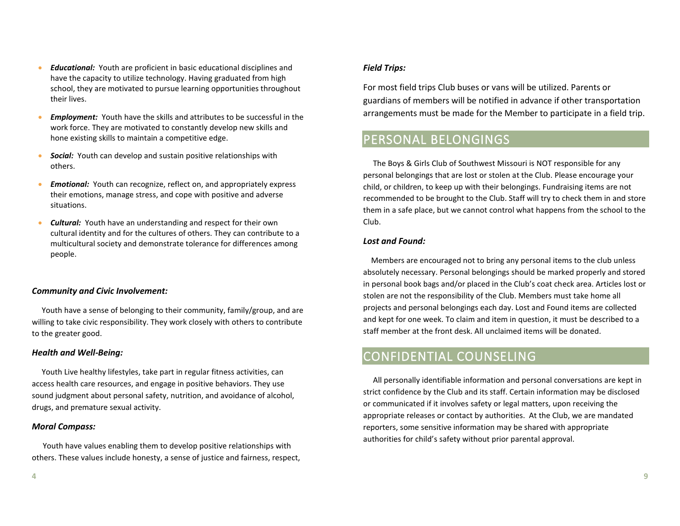- *Educational:* Youth are proficient in basic educational disciplines and have the capacity to utilize technology. Having graduated from high school, they are motivated to pursue learning opportunities throughout their lives.
- *Employment:* Youth have the skills and attributes to be successful in the work force. They are motivated to constantly develop new skills and hone existing skills to maintain a competitive edge.
- *Social:* Youth can develop and sustain positive relationships with others.
- **Emotional:** Youth can recognize, reflect on, and appropriately express their emotions, manage stress, and cope with positive and adverse situations.
- *Cultural:* Youth have an understanding and respect for their own cultural identity and for the cultures of others. They can contribute to a multicultural society and demonstrate tolerance for differences among people.

#### *Community and Civic Involvement:*

 Youth have a sense of belonging to their community, family/group, and are willing to take civic responsibility. They work closely with others to contribute to the greater good.

#### *Health and Well-Being:*

 Youth Live healthy lifestyles, take part in regular fitness activities, can access health care resources, and engage in positive behaviors. They use sound judgment about personal safety, nutrition, and avoidance of alcohol, drugs, and premature sexual activity.

#### *Moral Compass:*

 Youth have values enabling them to develop positive relationships with others. These values include honesty, a sense of justice and fairness, respect,

#### *Field Trips:*

For most field trips Club buses or vans will be utilized. Parents or guardians of members will be notified in advance if other transportation arrangements must be made for the Member to participate in a field trip.

## PERSONAL BELONGINGS

 The Boys & Girls Club of Southwest Missouri is NOT responsible for any personal belongings that are lost or stolen at the Club. Please encourage your child, or children, to keep up with their belongings. Fundraising items are not recommended to be brought to the Club. Staff will try to check them in and store them in a safe place, but we cannot control what happens from the school to the Club.

#### *Lost and Found:*

 Members are encouraged not to bring any personal items to the club unless absolutely necessary. Personal belongings should be marked properly and stored in personal book bags and/or placed in the Club's coat check area. Articles lost or stolen are not the responsibility of the Club. Members must take home all projects and personal belongings each day. Lost and Found items are collected and kept for one week. To claim and item in question, it must be described to a staff member at the front desk. All unclaimed items will be donated.

### CONFIDENTIAL COUNSELING

 All personally identifiable information and personal conversations are kept in strict confidence by the Club and its staff. Certain information may be disclosed or communicated if it involves safety or legal matters, upon receiving the appropriate releases or contact by authorities. At the Club, we are mandated reporters, some sensitive information may be shared with appropriate authorities for child's safety without prior parental approval.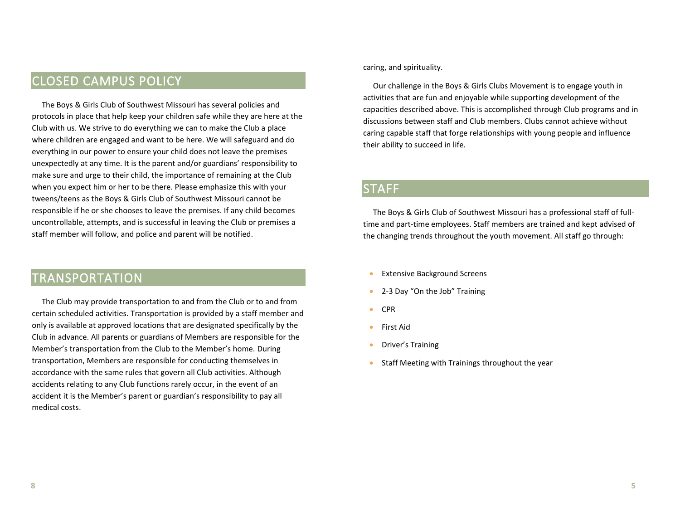# CLOSED CAMPUS POLICY

 The Boys & Girls Club of Southwest Missouri has several policies and protocols in place that help keep your children safe while they are here at the Club with us. We strive to do everything we can to make the Club a place where children are engaged and want to be here. We will safeguard and do everything in our power to ensure your child does not leave the premises unexpectedly at any time. It is the parent and/or guardians' responsibility to make sure and urge to their child, the importance of remaining at the Club when you expect him or her to be there. Please emphasize this with your tweens/teens as the Boys & Girls Club of Southwest Missouri cannot be responsible if he or she chooses to leave the premises. If any child becomes uncontrollable, attempts, and is successful in leaving the Club or premises a staff member will follow, and police and parent will be notified.

### TRANSPORTATION

 The Club may provide transportation to and from the Club or to and from certain scheduled activities. Transportation is provided by a staff member and only is available at approved locations that are designated specifically by the Club in advance. All parents or guardians of Members are responsible for the Member's transportation from the Club to the Member's home. During transportation, Members are responsible for conducting themselves in accordance with the same rules that govern all Club activities. Although accidents relating to any Club functions rarely occur, in the event of an accident it is the Member's parent or guardian's responsibility to pay all medical costs.

caring, and spirituality.

 Our challenge in the Boys & Girls Clubs Movement is to engage youth in activities that are fun and enjoyable while supporting development of the capacities described above. This is accomplished through Club programs and in discussions between staff and Club members. Clubs cannot achieve without caring capable staff that forge relationships with young people and influence their ability to succeed in life.

### **STAFF**

 The Boys & Girls Club of Southwest Missouri has a professional staff of fulltime and part-time employees. Staff members are trained and kept advised of the changing trends throughout the youth movement. All staff go through:

- Extensive Background Screens
- 2-3 Day "On the Job" Training
- CPR
- First Aid
- Driver's Training
- Staff Meeting with Trainings throughout the year